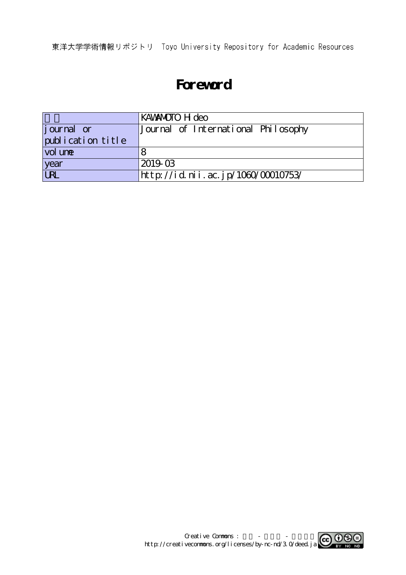東洋大学学術情報リポジトリ Toyo University Repository for Academic Resources

## **Foreword**

|                    | KAWAMOTO H deo                      |
|--------------------|-------------------------------------|
| <i>j</i> ournal or | Journal of International Philosophy |
| publication title  |                                     |
| vol une            |                                     |
| year               | 2019-03                             |
| URL                | http://id.nii.ac.jp/1060/00010753/  |